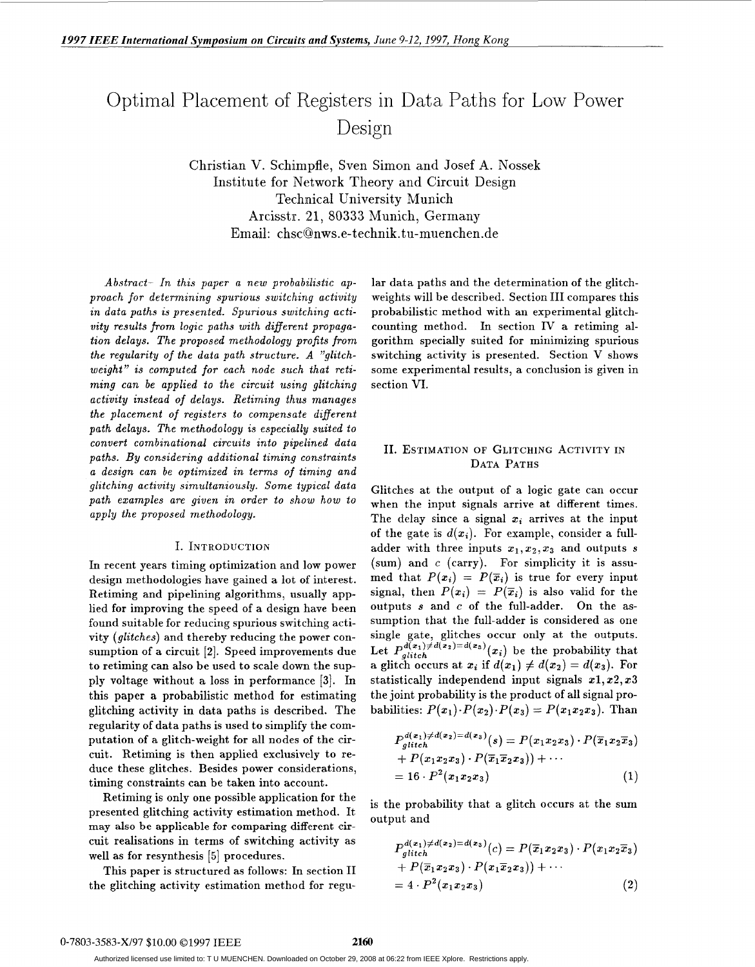# Optimal Placement of Registers in Data Paths for Low Power Design

Christian V. Schimpfle, Sven Simon and Josef A. Nossek Institute for Network Theory and Circuit Design Technical University Munich Arcisstr. 21, **80333** Munich, Germany Email: chsc@nws.e-technik.tu-muenchen.de

*Abstract- In this paper a new probabilistic approach for determining spurious switching activity in data paths is presented. Spurious switching activity results from logic paths with different propagation delays. The proposed methodology profits from the regularity of the data path structure. A "glitchweight" is computed for each node such that retiming can be applied to the circuit using glitching activity instead of delays. Retiming thus manages the placement of registers to compensate different path delays. The methodology is especially suited to convert combinational circuits into pipelined data paths. By considering additional timing constraints a design can be optimized in terms of timing and glitching activity simultaniously. Some typical data path examples are given in order to show how to apply the proposed methodology.* 

#### I. **INTRODUCTION**

In recent years timing optimization and low power design methodologies have gained a lot of interest. Retiming and pipelining algorithms, usually applied for improving the speed of a design have been found suitable for reducing spurious switching activity *(glitches)* and thereby reducing the power consumption of a circuit **[2].** Speed improvements due to retiming can also be used to scale down the supply voltage without a loss in performance **[3].** In this paper a probabilistic method for estimating glitching activity in data paths is described. The regularity of data paths is used to simplify the computation of a glitch-weight for all nodes of the circuit. Retiming is then applied exclusively to reduce these glitches. Besides power considerations, timing constraints can be taken into account.

Retiming is only one possible application for the presented glitching activity estimation method. It **may also be applicable for comparing** different **cir**cuit realisations in terms of switching activity as well as for resynthesis **[5]** procedures.

This paper is structured as follows: In section I1 the glitching activity estimation method for regular data paths and the determination of the glitchweights will be described. Section 111 compares this probabilistic method with an experimental glitchcounting method. In section IV a retiming algorithm specially suited for minimizing spurious switching activity is presented. Section V shows some experimental results, a conclusion is given in section VI.

## 11. **ESTIMATION** OF **GLITCHING ACTIVITY IN DATA PATHS**

Glitches at the output of a logic gate can occur when the input signals arrive at different times. The delay since a signal  $x_i$  arrives at the input of the gate is  $d(x_i)$ . For example, consider a fulladder with three inputs  $x_1, x_2, x_3$  and outputs *s* (sum) and  $c$  (carry). For simplicity it is assumed that  $P(x_i) = P(\overline{x}_i)$  is true for every input signal, then  $P(x_i) = P(\overline{x}_i)$  is also valid for the outputs s and *c* of the full-adder. On the assumption that the full-adder is considered as one single gate, glitches occur only at the outputs. Let  $P_{glitch}^{d(x_1)\neq d(x_2)=d(x_3)}(x_i)$  be the probability that a glitch occurs at  $x_i$  if  $d(x_1) \neq d(x_2) = d(x_3)$ . For statistically independend input signals  $x_1, x_2, x_3$ the joint probability is the product of all signal probabilities:  $P(x_1) \cdot P(x_2) \cdot P(x_3) = P(x_1x_2x_3)$ . Than

$$
P_{gitted}^{d(x_1)\neq d(x_2)=d(x_3)}(s) = P(x_1x_2x_3) \cdot P(\overline{x}_1x_2\overline{x}_3)
$$
  
+ 
$$
P(x_1x_2x_3) \cdot P(\overline{x}_1\overline{x}_2x_3)) + \cdots
$$
  
= 16 \cdot P<sup>2</sup>(x\_1x\_2x\_3) (1)

is the probability that a glitch occurs at the sum output and

$$
P_{glitch}^{d(x_1)\neq d(x_2)=d(x_3)}(c) = P(\overline{x}_1 x_2 x_3) \cdot P(x_1 x_2 \overline{x}_3)
$$
  
+ 
$$
P(\overline{x}_1 x_2 x_3) \cdot P(x_1 \overline{x}_2 x_3)) + \cdots
$$
  
= 
$$
4 \cdot P^2(x_1 x_2 x_3)
$$
 (2)

Authorized licensed use limited to: T U MUENCHEN. Downloaded on October 29, 2008 at 06:22 from IEEE Xplore. Restrictions apply.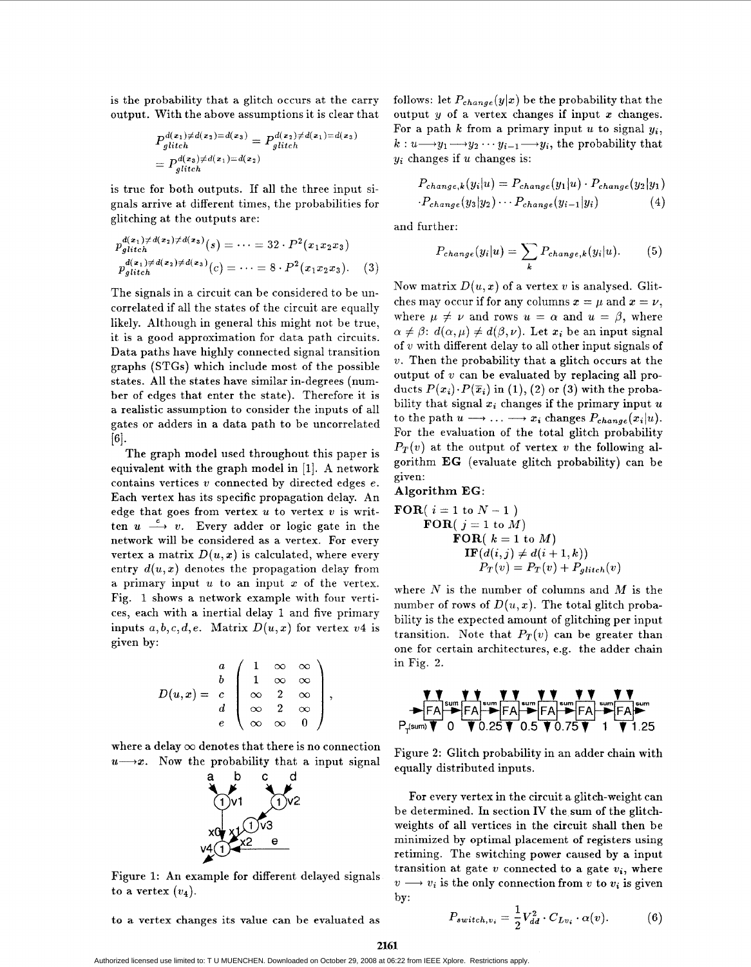is the probability that a glitch occurs at the carry output. With the above assumptions it is clear that

$$
P_{glitch}^{d(x_1)\neq d(x_2)=d(x_3)} = P_{glitch}^{d(x_2)\neq d(x_1)=d(x_3)}
$$
  
= 
$$
P_{glitch}^{d(x_3)\neq d(x_1)=d(x_2)}
$$

is true for both outputs. If all the three input signals arrive at different times, the probabilities for glitching at the outputs are:

$$
p_{glitch}^{d(x_1) \neq d(x_2) \neq d(x_3)}(s) = \dots = 32 \cdot P^2(x_1 x_2 x_3)
$$
  
\n
$$
p_{glitch}^{d(x_1) \neq d(x_2) \neq d(x_3)}(c) = \dots = 8 \cdot P^2(x_1 x_2 x_3).
$$
 (3)

The signals in a circuit can be considered to be uncorrelated if all the states of the circuit are equally likely. Although in general this might not be true, it is a good approximation for data path circuits. Data paths have highly connected signal transition graphs (STGs) which include most of the possible states. All the states have similar in-degrees (number of edges that enter the state). Therefore it is a realistic assumption to consider the inputs of all gates or adders in a data path to be uncorrelated  $\lceil 6 \rceil$ .

The graph model used throughout this paper is equivalent with the graph model in [l]. A network contains vertices *v* connected by directed edges *e.*  Each vertex has its specific propagation delay. An edge that goes from vertex *u* to vertex *v* is writ-<br>ten  $u \xrightarrow{e} v$ . Every adder or logic gate in the network will be considered as a vertex. For every vertex a matrix  $D(u, x)$  is calculated, where every entry  $d(u, x)$  denotes the propagation delay from a primary input *U* to an input *x* of the vertex. Fig. 1 shows a network example with four vertices, each with a inertial delay 1 and five primary inputs  $a, b, c, d, e$ . Matrix  $D(u, x)$  for vertex  $v4$  is given by:

$$
D(u,x) = \begin{array}{c} a \\ b \\ c \\ d \\ e \end{array} \begin{pmatrix} 1 & \infty & \infty \\ 1 & \infty & \infty \\ \infty & 2 & \infty \\ \infty & 2 & \infty \\ \infty & \infty & 0 \end{pmatrix},
$$

where a delay  $\infty$  denotes that there is no connection  $u \rightarrow x$ . Now the probability that a input signal



Figure 1: An example for different delayed signals to a vertex  $(v_4)$ .

to a vertex changes its value can be evaluated as

follows: let  $P_{change}(y|x)$  be the probability that the output  $y$  of a vertex changes if input  $x$  changes. For a path  $k$  from a primary input  $u$  to signal  $y_i$ ,  $k: u \longrightarrow y_1 \longrightarrow y_2 \cdots y_{i-1} \longrightarrow y_i$ , the probability that yi changes if *U* changes is:

$$
P_{change,k}(y_i|u) = P_{change}(y_1|u) \cdot P_{change}(y_2|y_1)
$$

$$
\cdot P_{change}(y_3|y_2) \cdots P_{change}(y_{i-1}|y_i)
$$
 (4)

and further:

$$
P_{change}(y_i|u) = \sum_{k} P_{change,k}(y_i|u). \tag{5}
$$

Now matrix  $D(u, x)$  of a vertex v is analysed. Glitches may occur if for any columns  $x = \mu$  and  $x = \nu$ , where  $\mu \neq \nu$  and rows  $u = \alpha$  and  $u = \beta$ , where  $\alpha \neq \beta$ :  $d(\alpha, \mu) \neq d(\beta, \nu)$ . Let  $x_i$  be an input signal of *v* with different delay to all other input signals of *v.* Then the probability that a glitch occurs at the output of *v* can be evaluated by replacing all products  $P(x_i) \cdot P(\overline{x}_i)$  in (1), (2) or (3) with the probability that signal  $x_i$  changes if the primary input  $u$ to the path  $u \longrightarrow \ldots \longrightarrow x_i$  changes  $P_{change}(x_i|u)$ . For the evaluation of the total glitch probability  $P_T(v)$  at the output of vertex *v* the following algorithm **EG** (evaluate glitch probability) can be given:

#### **Algorithm EG:**

$$
\begin{matrix} \textbf{FOR}(i=1 \text{ to } N-1) \\ \textbf{FOR}(j=1 \text{ to } M) \\ \textbf{FOR}(k=1 \text{ to } M) \\ \textbf{IF}(d(i,j) \neq d(i+1,k)) \\ P_T(v) = P_T(v) + P_{glitch}(v) \end{matrix}
$$

where  $N$  is the number of columns and  $M$  is the number of rows of  $D(u, x)$ . The total glitch probability is the expected amount of glitching per input transition. Note that  $P_T(v)$  can be greater than one for certain architectures, e.g. the adder chain in Fig. 2.

$$
\begin{array}{c}\n\text{V} \\
\hline\nF A \rightarrow FA \\
\hline\nF A \rightarrow FA \\
\hline\nP_{\text{fsum}} \times 0 \quad \text{V} \\
\hline\nV \rightarrow F A \\
\hline\nT \rightarrow F A \\
\hline\nT \rightarrow F A \\
\hline\nT \rightarrow F A \\
\hline\nT \rightarrow F A \\
\hline\nT \rightarrow T \\
\hline\nT \rightarrow T \\
\hline\nT \rightarrow T \\
\hline\nT \rightarrow T \\
\hline\nT \rightarrow T \\
\hline\nT \rightarrow T \\
\hline\nT \rightarrow T \\
\hline\nT \rightarrow T \\
\hline\nT \rightarrow T \\
\hline\nT \rightarrow T \\
\hline\nT \rightarrow T \\
\hline\nT \rightarrow T \\
\hline\nT \rightarrow T \\
\hline\nT \rightarrow T \\
\hline\nT \rightarrow T \\
\hline\nT \rightarrow T \\
\hline\nT \rightarrow T \\
\hline\nT \rightarrow T \\
\hline\nT \rightarrow T \\
\hline\nT \rightarrow T \\
\hline\nT \rightarrow T \\
\hline\nT \rightarrow T \\
\hline\nT \rightarrow T \\
\hline\nT \rightarrow T \\
\hline\nT \rightarrow T \\
\hline\nT \rightarrow T \\
\hline\nT \rightarrow T \\
\hline\nT \rightarrow T \\
\hline\nT \rightarrow T \\
\hline\nT \rightarrow T \\
\hline\nT \rightarrow T \\
\hline\nT \rightarrow T \\
\hline\nT \rightarrow T \\
\hline\nT \rightarrow T \\
\hline\nT \rightarrow T \\
\hline\nT \rightarrow T \\
\hline\nT \rightarrow T \\
\hline\nT \rightarrow T \\
\hline\nT \rightarrow T \\
\hline\nT \rightarrow T \\
\hline\nT \rightarrow T \\
\hline\nT \rightarrow T \\
\hline\nT \rightarrow T \\
\hline\nT \rightarrow T \\
\hline\nT \rightarrow T \\
\hline\nT \rightarrow T \\
\hline\nT \rightarrow T \\
\hline\nT \rightarrow T \\
\hline\nT \rightarrow T \\
\hline\nT \rightarrow T \\
\hline\nT \rightarrow T \\
\hline\nT \rightarrow T \\
\hline\nT \rightarrow T \\
\hline\nT \rightarrow T \\
\hline\nT \rightarrow T \\
\hline\nT \rightarrow T \\
\hline\nT \rightarrow T \\
\hline\nT \rightarrow T \\
\hline\nT \rightarrow T \\
\hline\nT \rightarrow T \\
\hline\nT \rightarrow T \\
\hline\nT \rightarrow T \\
\hline\nT \rightarrow T \\
\hline\nT \rightarrow T \\
\hline\nT \rightarrow T \\
\hline\nT \rightarrow T \\
\hline\nT \rightarrow T \\
\hline\nT \rightarrow T \\
\hline\nT \rightarrow T \\
\hline\nT \rightarrow T \\
\hline\nT \rightarrow T \\
\hline\nT \rightarrow T \\
\hline
$$

Figure **2:** Glitch probability in an adder chain with equally distributed inputs.

For every vertex in the circuit a glitch-weight can be determined. In section **IV** the sum of the glitchweights of all vertices in the circuit shall then be minimized by optimal placement of registers using retiming. The switching power caused by a input transition at gate  $v$  connected to a gate  $v_i$ , where  $v \rightarrow v_i$  is the only connection from *v* to  $v_i$  is given  $by:$ 

$$
P_{switch,v_i} = \frac{1}{2} V_{dd}^2 \cdot C_{Lv_i} \cdot \alpha(v). \tag{6}
$$

**2161** 

Authorized licensed use limited to: T U MUENCHEN. Downloaded on October 29, 2008 at 06:22 from IEEE Xplore. Restrictions apply.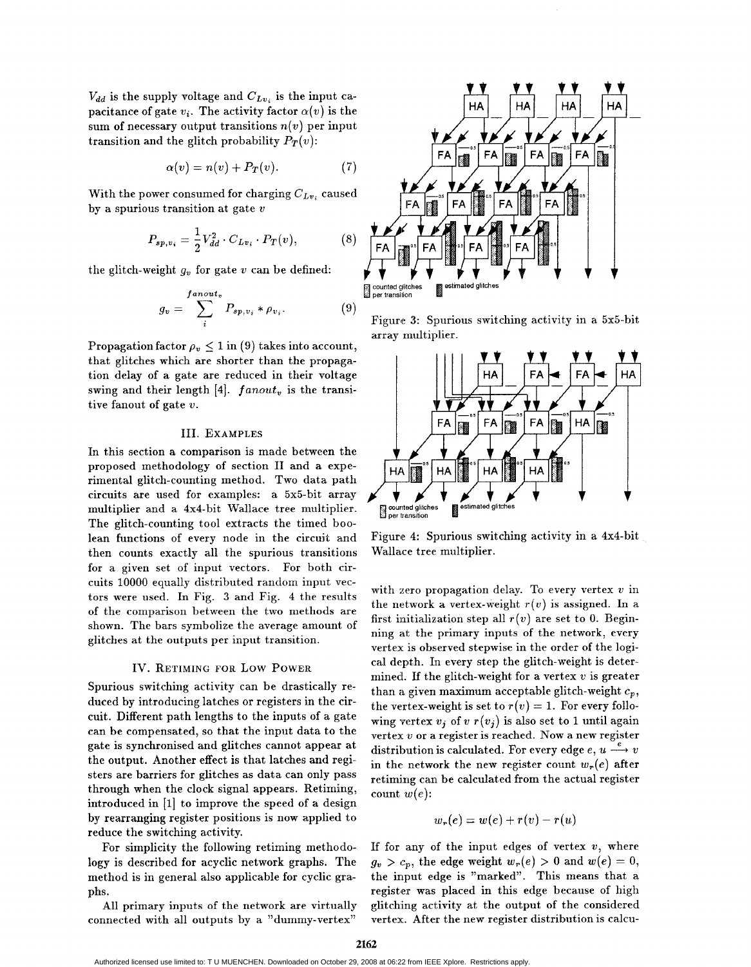$V_{dd}$  is the supply voltage and  $C_{Lv_i}$  is the input capacitance of gate  $v_i$ . The activity factor  $\alpha(v)$  is the sum of necessary output transitions  $n(v)$  per input transition and the glitch probability  $P_T(v)$ :

$$
\alpha(v) = n(v) + P_T(v). \tag{7}
$$

With the power consumed for charging  $C_{Lv_i}$  caused by a spurious transition at gate *<sup>U</sup>*

$$
P_{sp,v_i} = \frac{1}{2} V_{dd}^2 \cdot C_{Lv_i} \cdot P_T(v), \tag{8}
$$

the glitch-weight  $g_v$  for gate  $v$  can be defined:

$$
g_v = \sum_{i}^{fanout_v} P_{sp,v_i} * \rho_{v_i}.
$$
 (9)

Propagation factor  $\rho_v \leq 1$  in (9) takes into account, that glitches which are shorter than the propagation delay of a gate are reduced in their voltage swing and their length  $[4]$ .  $fanout_v$  is the transitive fanout of gate *U.* 

#### 111. **EXAMPLES**

In this section a comparison is made between the proposed methodology of section II and a experimental glitch-counting method. Two data path circuits are used for examples: a 5x5-bit array multiplier and a 4x4-bit Wallace tree multiplier. The glitch-counting tool extracts the timed boolean functions of every node in the circuit and then counts exactly all the spurious transitions for a given set of input vectors. For both circuits 10000 equally distributed random input vectors were used. In Fig. **3** and Fig. 4 the results of the comparison between the two methods are shown. The bars symbolize the average amount of glitches at the outputs per input transition.

#### IV. **RETIMING FOR** Low POWER

Spurious switching activity can be drastically reduced by introducing latches **or** registers in the circuit. Different path lengths to the inputs of a gate can be compensated, *so* that the input data to the gate is synchronised and glitches cannot appear at the output. Another effect is that latches and registers are barriers for glitches as data can only pass through when the clock signal appears. Retiming, introduced in **[l]** to improve the speed of a design by rearranging register positions is now applied to reduce the switching activity.

For simplicity the following retiming methodology is described for acyclic network graphs. The method is in general also applicable for cyclic graphs.

All primary inputs of the network are virtually connected with all outputs by a "dummy-vertex"



(9) Figure **3:** Spurious switching activity in a 5x5-bit array multiplier.



Figure **4:** Spurious switching activity in a 4x4-bit Wallace tree multiplier.

with **zero** popagation delay. To every vertex *v* in the network a vertex-weight  $r(v)$  is assigned. In a first initialization step all  $r(v)$  are set to 0. Beginning at the primary inputs of the network, every vertex is observed stepwise in the order **of** the logical depth. In every step the glitch-weight is determined. If the glitch-weight for a vertex  $v$  is greater than **a** given maximum acceptable glitch-weight *cp,*  the vertex-weight is set to  $r(v) = 1$ . For every following vertex  $v_i$  of  $v_r(v_i)$  is also set to 1 until again vertex *v* or a register is reached. Now a new register distribution is calculated. For every edge  $e, u \xrightarrow{e} v$ in the network the new register count  $w_r(e)$  after retiming can be calculated from the actual register count  $w(e)$ :

$$
w_r(e) = w(e) + r(v) - r(u)
$$

If for any of the input edges of vertex  $v$ , where  $g_v > c_p$ , the edge weight  $w_r(e) > 0$  and  $w(e) = 0$ , the input edge is "marked". This means that a register was placed in this edge because of high glitching activity at the output **of** the considered vertex. After the new register distribution is calcu-

Authorized licensed use limited to: T U MUENCHEN. Downloaded on October 29, 2008 at 06:22 from IEEE Xplore. Restrictions apply.